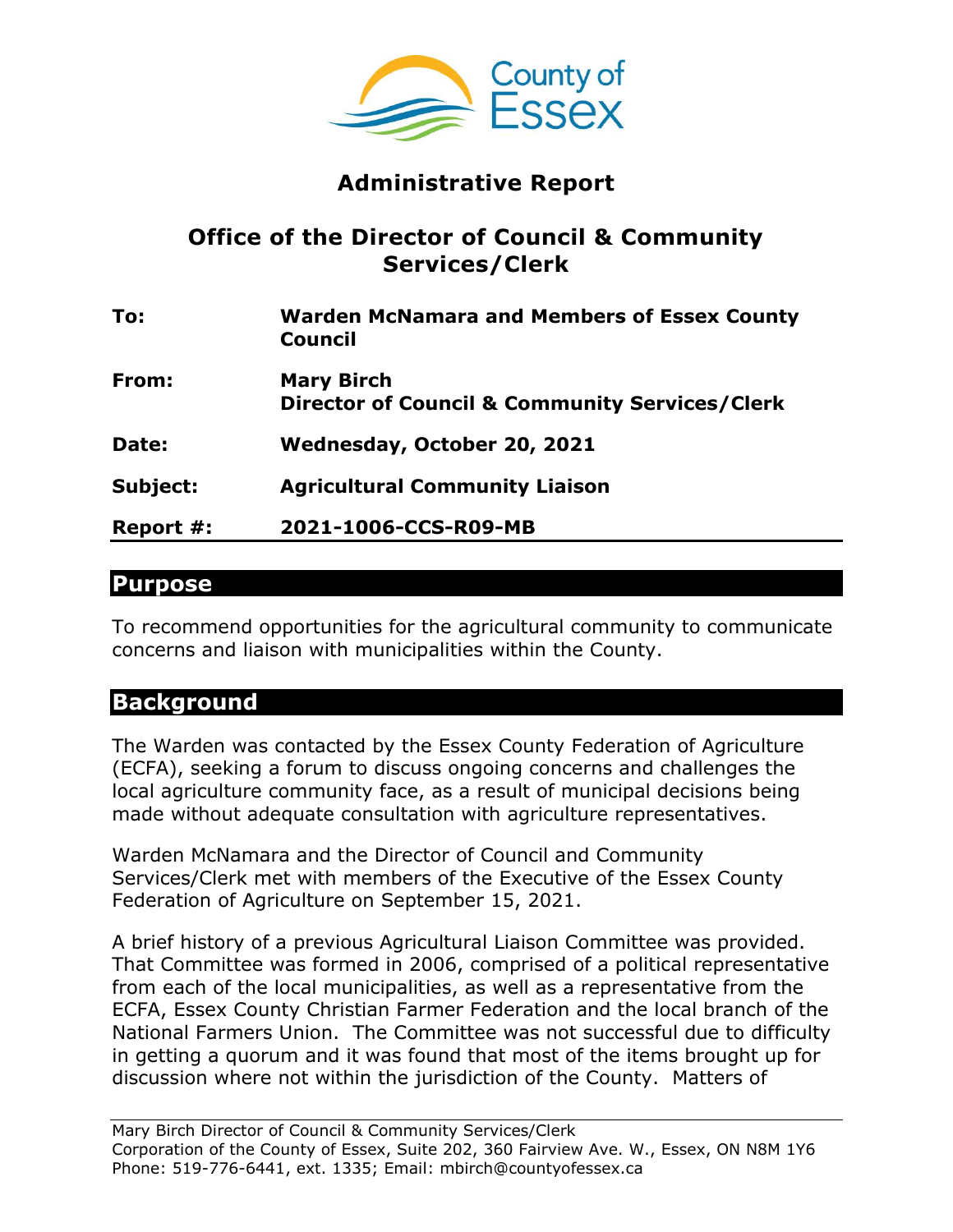

# **Administrative Report**

## **Office of the Director of Council & Community Services/Clerk**

| To:       | <b>Warden McNamara and Members of Essex County</b><br><b>Council</b>           |
|-----------|--------------------------------------------------------------------------------|
| From:     | <b>Mary Birch</b><br><b>Director of Council &amp; Community Services/Clerk</b> |
| Date:     | Wednesday, October 20, 2021                                                    |
| Subject:  | <b>Agricultural Community Liaison</b>                                          |
| Report #: | 2021-1006-CCS-R09-MB                                                           |

### **Purpose**

To recommend opportunities for the agricultural community to communicate concerns and liaison with municipalities within the County.

## **Background**

The Warden was contacted by the Essex County Federation of Agriculture (ECFA), seeking a forum to discuss ongoing concerns and challenges the local agriculture community face, as a result of municipal decisions being made without adequate consultation with agriculture representatives.

Warden McNamara and the Director of Council and Community Services/Clerk met with members of the Executive of the Essex County Federation of Agriculture on September 15, 2021.

A brief history of a previous Agricultural Liaison Committee was provided. That Committee was formed in 2006, comprised of a political representative from each of the local municipalities, as well as a representative from the ECFA, Essex County Christian Farmer Federation and the local branch of the National Farmers Union. The Committee was not successful due to difficulty in getting a quorum and it was found that most of the items brought up for discussion where not within the jurisdiction of the County. Matters of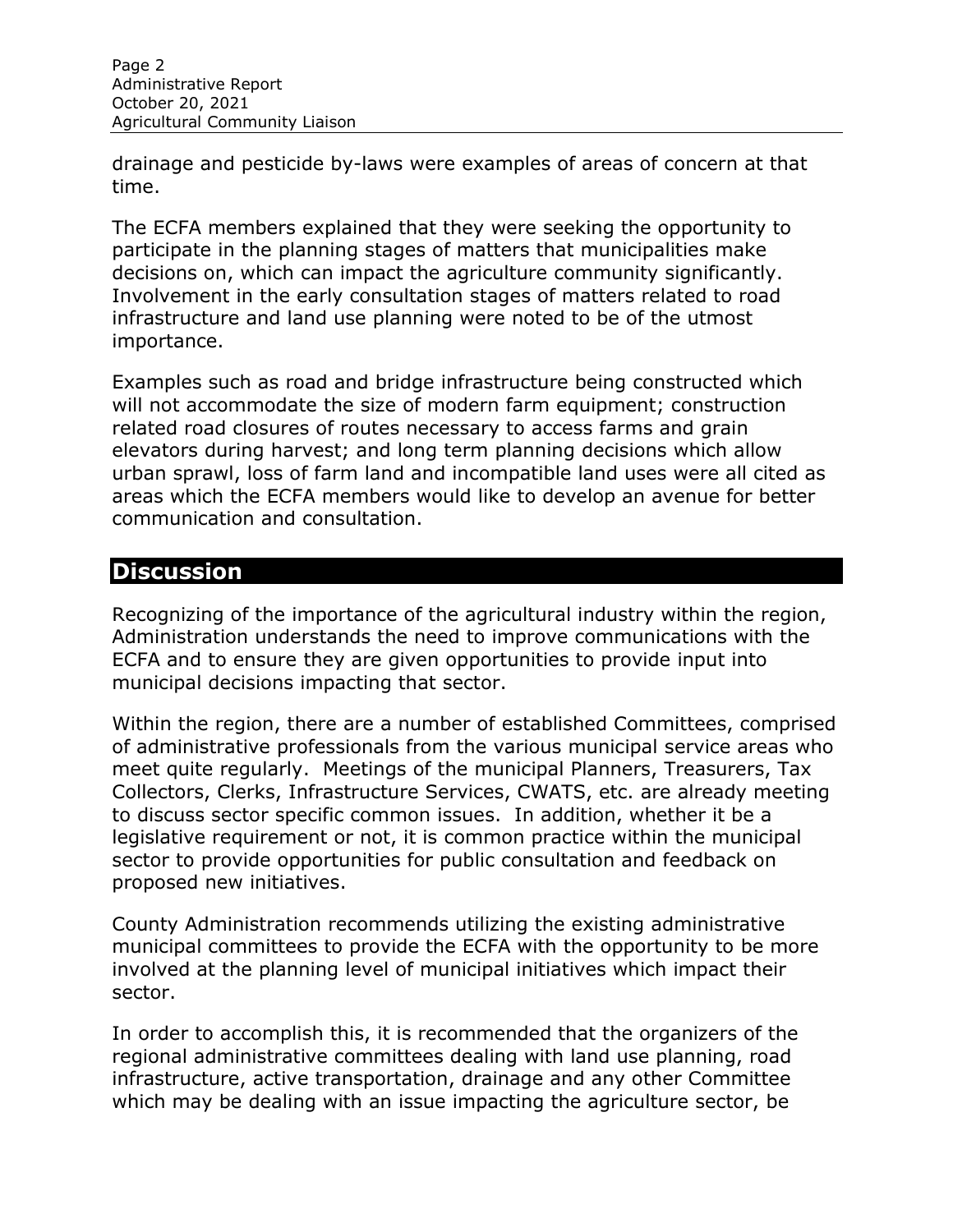drainage and pesticide by-laws were examples of areas of concern at that time.

The ECFA members explained that they were seeking the opportunity to participate in the planning stages of matters that municipalities make decisions on, which can impact the agriculture community significantly. Involvement in the early consultation stages of matters related to road infrastructure and land use planning were noted to be of the utmost importance.

Examples such as road and bridge infrastructure being constructed which will not accommodate the size of modern farm equipment; construction related road closures of routes necessary to access farms and grain elevators during harvest; and long term planning decisions which allow urban sprawl, loss of farm land and incompatible land uses were all cited as areas which the ECFA members would like to develop an avenue for better communication and consultation.

### **Discussion**

Recognizing of the importance of the agricultural industry within the region, Administration understands the need to improve communications with the ECFA and to ensure they are given opportunities to provide input into municipal decisions impacting that sector.

Within the region, there are a number of established Committees, comprised of administrative professionals from the various municipal service areas who meet quite regularly. Meetings of the municipal Planners, Treasurers, Tax Collectors, Clerks, Infrastructure Services, CWATS, etc. are already meeting to discuss sector specific common issues. In addition, whether it be a legislative requirement or not, it is common practice within the municipal sector to provide opportunities for public consultation and feedback on proposed new initiatives.

County Administration recommends utilizing the existing administrative municipal committees to provide the ECFA with the opportunity to be more involved at the planning level of municipal initiatives which impact their sector.

In order to accomplish this, it is recommended that the organizers of the regional administrative committees dealing with land use planning, road infrastructure, active transportation, drainage and any other Committee which may be dealing with an issue impacting the agriculture sector, be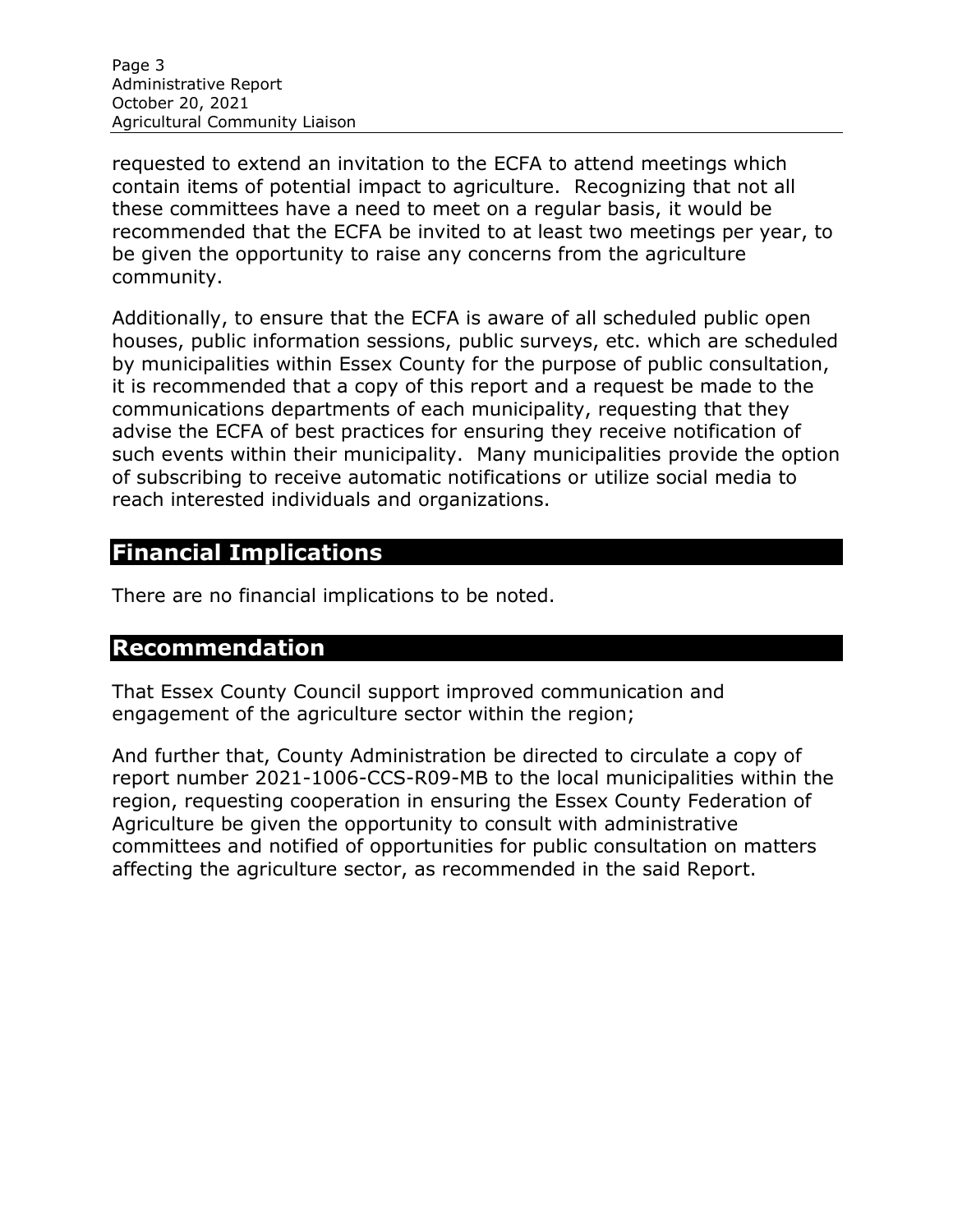Page 3 Administrative Report October 20, 2021 Agricultural Community Liaison

requested to extend an invitation to the ECFA to attend meetings which contain items of potential impact to agriculture. Recognizing that not all these committees have a need to meet on a regular basis, it would be recommended that the ECFA be invited to at least two meetings per year, to be given the opportunity to raise any concerns from the agriculture community.

Additionally, to ensure that the ECFA is aware of all scheduled public open houses, public information sessions, public surveys, etc. which are scheduled by municipalities within Essex County for the purpose of public consultation, it is recommended that a copy of this report and a request be made to the communications departments of each municipality, requesting that they advise the ECFA of best practices for ensuring they receive notification of such events within their municipality. Many municipalities provide the option of subscribing to receive automatic notifications or utilize social media to reach interested individuals and organizations.

# **Financial Implications**

There are no financial implications to be noted.

### **Recommendation**

That Essex County Council support improved communication and engagement of the agriculture sector within the region;

And further that, County Administration be directed to circulate a copy of report number 2021-1006-CCS-R09-MB to the local municipalities within the region, requesting cooperation in ensuring the Essex County Federation of Agriculture be given the opportunity to consult with administrative committees and notified of opportunities for public consultation on matters affecting the agriculture sector, as recommended in the said Report.